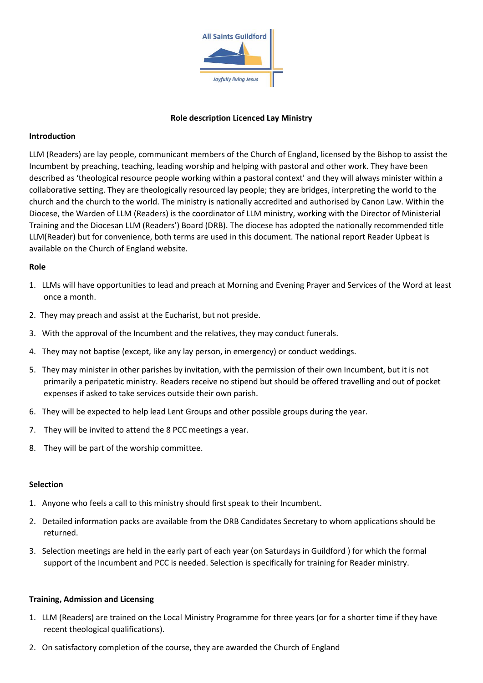

#### **Role description Licenced Lay Ministry**

#### **Introduction**

LLM (Readers) are lay people, communicant members of the Church of England, licensed by the Bishop to assist the Incumbent by preaching, teaching, leading worship and helping with pastoral and other work. They have been described as 'theological resource people working within a pastoral context' and they will always minister within a collaborative setting. They are theologically resourced lay people; they are bridges, interpreting the world to the church and the church to the world. The ministry is nationally accredited and authorised by Canon Law. Within the Diocese, the Warden of LLM (Readers) is the coordinator of LLM ministry, working with the Director of Ministerial Training and the Diocesan LLM (Readers') Board (DRB). The diocese has adopted the nationally recommended title LLM(Reader) but for convenience, both terms are used in this document. The national report Reader Upbeat is available on the Church of England website.

## **Role**

- 1. LLMs will have opportunities to lead and preach at Morning and Evening Prayer and Services of the Word at least once a month.
- 2. They may preach and assist at the Eucharist, but not preside.
- 3. With the approval of the Incumbent and the relatives, they may conduct funerals.
- 4. They may not baptise (except, like any lay person, in emergency) or conduct weddings.
- 5. They may minister in other parishes by invitation, with the permission of their own Incumbent, but it is not primarily a peripatetic ministry. Readers receive no stipend but should be offered travelling and out of pocket expenses if asked to take services outside their own parish.
- 6. They will be expected to help lead Lent Groups and other possible groups during the year.
- 7. They will be invited to attend the 8 PCC meetings a year.
- 8. They will be part of the worship committee.

#### **Selection**

- 1. Anyone who feels a call to this ministry should first speak to their Incumbent.
- 2. Detailed information packs are available from the DRB Candidates Secretary to whom applications should be returned.
- 3. Selection meetings are held in the early part of each year (on Saturdays in Guildford ) for which the formal support of the Incumbent and PCC is needed. Selection is specifically for training for Reader ministry.

#### **Training, Admission and Licensing**

- 1. LLM (Readers) are trained on the Local Ministry Programme for three years (or for a shorter time if they have recent theological qualifications).
- 2. On satisfactory completion of the course, they are awarded the Church of England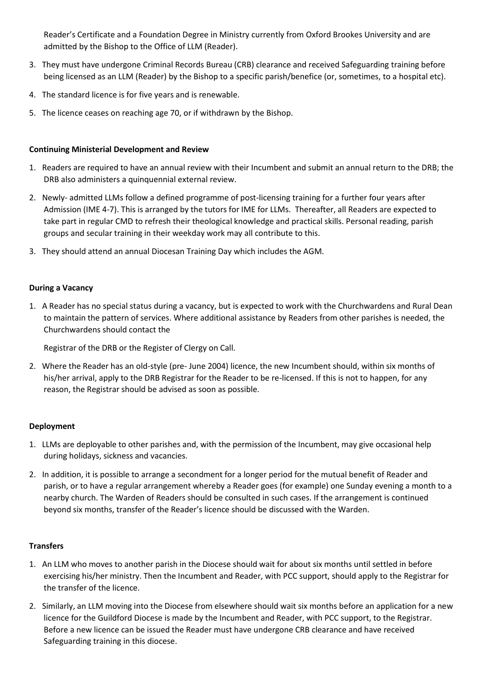Reader's Certificate and a Foundation Degree in Ministry currently from Oxford Brookes University and are admitted by the Bishop to the Office of LLM (Reader).

- 3. They must have undergone Criminal Records Bureau (CRB) clearance and received Safeguarding training before being licensed as an LLM (Reader) by the Bishop to a specific parish/benefice (or, sometimes, to a hospital etc).
- 4. The standard licence is for five years and is renewable.
- 5. The licence ceases on reaching age 70, or if withdrawn by the Bishop.

# **Continuing Ministerial Development and Review**

- 1. Readers are required to have an annual review with their Incumbent and submit an annual return to the DRB; the DRB also administers a quinquennial external review.
- 2. Newly- admitted LLMs follow a defined programme of post-licensing training for a further four years after Admission (IME 4-7). This is arranged by the tutors for IME for LLMs. Thereafter, all Readers are expected to take part in regular CMD to refresh their theological knowledge and practical skills. Personal reading, parish groups and secular training in their weekday work may all contribute to this.
- 3. They should attend an annual Diocesan Training Day which includes the AGM.

## **During a Vacancy**

1. A Reader has no special status during a vacancy, but is expected to work with the Churchwardens and Rural Dean to maintain the pattern of services. Where additional assistance by Readers from other parishes is needed, the Churchwardens should contact the

Registrar of the DRB or the Register of Clergy on Call.

2. Where the Reader has an old-style (pre- June 2004) licence, the new Incumbent should, within six months of his/her arrival, apply to the DRB Registrar for the Reader to be re-licensed. If this is not to happen, for any reason, the Registrar should be advised as soon as possible.

#### **Deployment**

- 1. LLMs are deployable to other parishes and, with the permission of the Incumbent, may give occasional help during holidays, sickness and vacancies.
- 2. In addition, it is possible to arrange a secondment for a longer period for the mutual benefit of Reader and parish, or to have a regular arrangement whereby a Reader goes (for example) one Sunday evening a month to a nearby church. The Warden of Readers should be consulted in such cases. If the arrangement is continued beyond six months, transfer of the Reader's licence should be discussed with the Warden.

# **Transfers**

- 1. An LLM who moves to another parish in the Diocese should wait for about six months until settled in before exercising his/her ministry. Then the Incumbent and Reader, with PCC support, should apply to the Registrar for the transfer of the licence.
- 2. Similarly, an LLM moving into the Diocese from elsewhere should wait six months before an application for a new licence for the Guildford Diocese is made by the Incumbent and Reader, with PCC support, to the Registrar. Before a new licence can be issued the Reader must have undergone CRB clearance and have received Safeguarding training in this diocese.